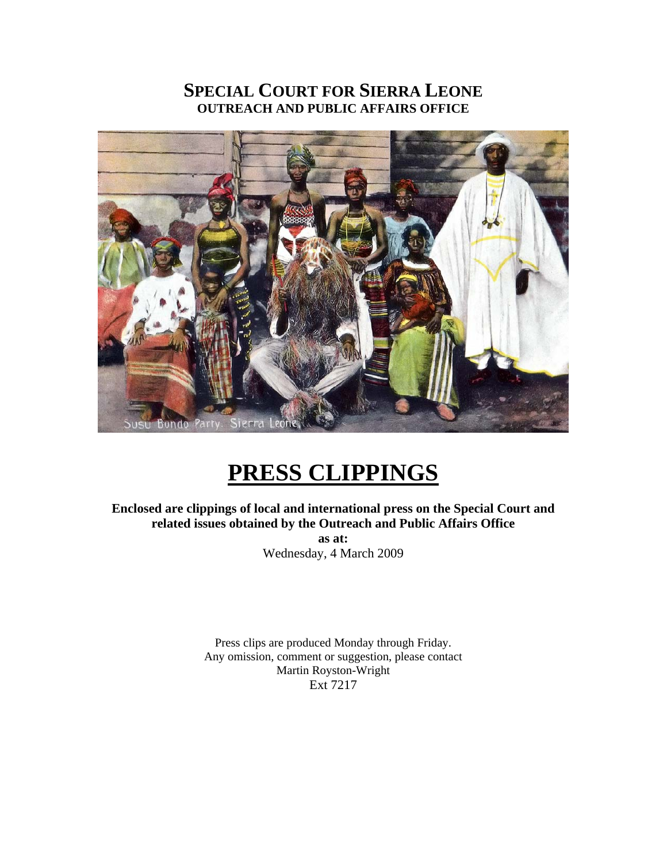## **SPECIAL COURT FOR SIERRA LEONE OUTREACH AND PUBLIC AFFAIRS OFFICE**



## **PRESS CLIPPINGS**

**Enclosed are clippings of local and international press on the Special Court and related issues obtained by the Outreach and Public Affairs Office as at:**  Wednesday, 4 March 2009

> Press clips are produced Monday through Friday. Any omission, comment or suggestion, please contact Martin Royston-Wright Ext 7217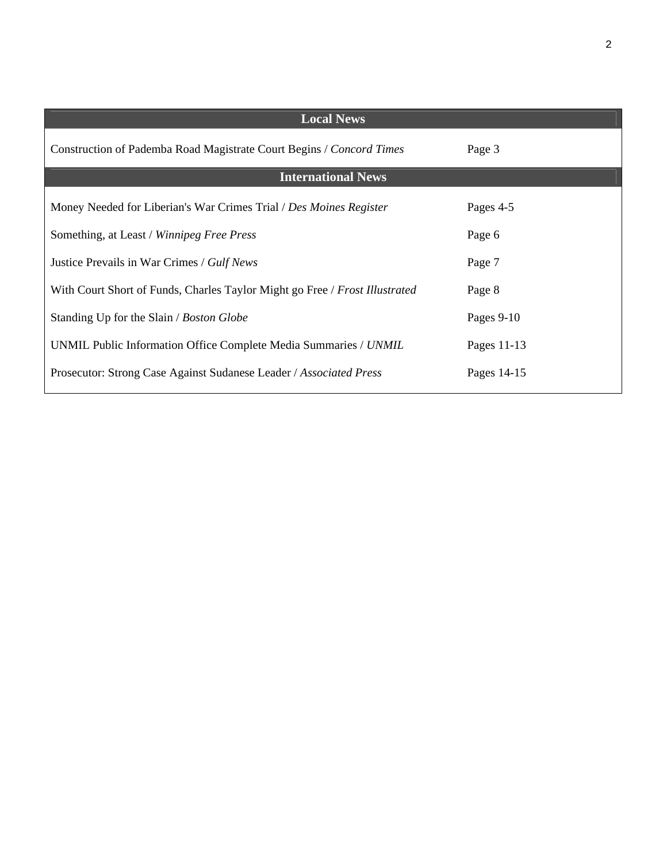| <b>Local News</b>                                                           |              |
|-----------------------------------------------------------------------------|--------------|
| Construction of Pademba Road Magistrate Court Begins / Concord Times        | Page 3       |
| <b>International News</b>                                                   |              |
| Money Needed for Liberian's War Crimes Trial / Des Moines Register          | Pages 4-5    |
| Something, at Least / Winnipeg Free Press                                   | Page 6       |
| Justice Prevails in War Crimes / Gulf News                                  | Page 7       |
| With Court Short of Funds, Charles Taylor Might go Free / Frost Illustrated | Page 8       |
| Standing Up for the Slain / Boston Globe                                    | Pages $9-10$ |
| UNMIL Public Information Office Complete Media Summaries / UNMIL            | Pages 11-13  |
| Prosecutor: Strong Case Against Sudanese Leader / Associated Press          | Pages 14-15  |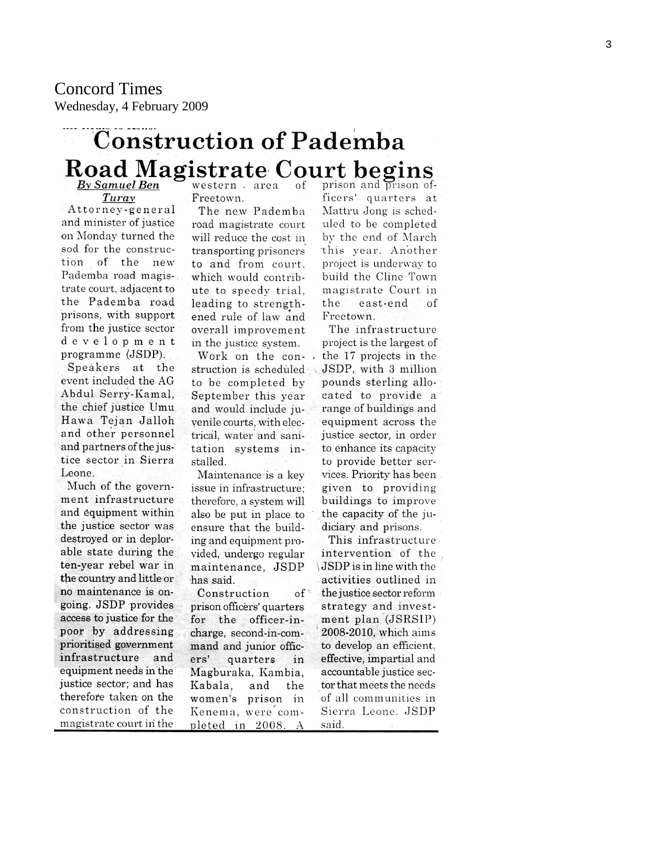# **Construction of Pademba** Road Magistrate Court begins

Turay Attorney-general and minister of justice on Monday turned the sod for the construction of the new Pademba road magistrate court, adjacent to the Pademba road prisons, with support from the justice sector development programme (JSDP).

Speakers at the event included the AG Abdul Serry-Kamal, the chief justice Umu Hawa Tejan Jalloh and other personnel and partners of the justice sector in Sierra Leone.

Much of the government infrastructure and equipment within the justice sector was destroyed or in deplorable state during the ten-year rebel war in the country and little or no maintenance is ongoing. JSDP provides access to justice for the poor by addressing prioritised government infrastructure and equipment needs in the justice sector; and has therefore taken on the construction of the magistrate court in the

Freetown.

The new Pademba road magistrate court will reduce the cost in transporting prisoners to and from court. which would contribute to speedy trial, leading to strengthened rule of law and overall improvement in the justice system.

Work on the construction is scheduled to be completed by September this year and would include juvenile courts, with electrical, water and sanitation systems installed.

Maintenance is a key issue in infrastructure; therefore, a system will also be put in place to ensure that the building and equipment provided, undergo regular maintenance, JSDP has said.

Construction  $of$ prison officers' quarters for the officer-incharge, second-in-command and junior officers' quarters in Magburaka, Kambia, Kabala, and the women's prison in Kenema, were completed in 2008.  $\overline{A}$ 

ficers' quarters at Mattru Jong is scheduled to be completed by the end of March this year. Another project is underway to build the Cline Town magistrate Court in the east-end of Freetown.

The infrastructure project is the largest of the 17 projects in the JSDP, with 3 million pounds sterling allocated to provide a range of buildings and equipment across the justice sector, in order to enhance its capacity to provide better services. Priority has been given to providing buildings to improve the capacity of the judiciary and prisons.

This infrastructure intervention of the JSDP is in line with the activities outlined in the justice sector reform strategy and investment plan (JSRSIP) 2008-2010, which aims to develop an efficient, effective, impartial and accountable justice sector that meets the needs of all communities in Sierra Leone, JSDP said.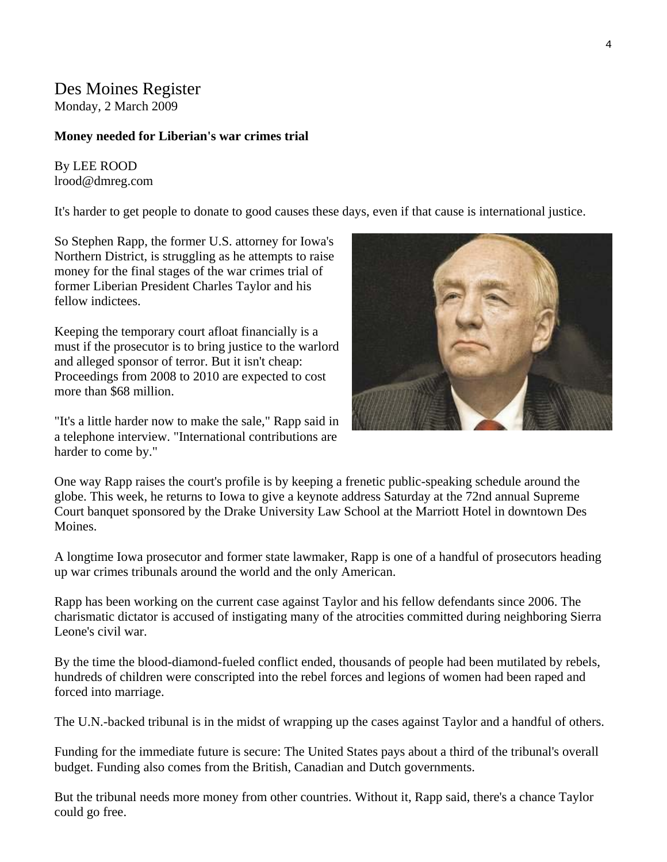## Des Moines Register

Monday, 2 March 2009

#### **Money needed for Liberian's war crimes trial**

By LEE ROOD lrood@dmreg.com

It's harder to get people to donate to good causes these days, even if that cause is international justice.

So Stephen Rapp, the former U.S. attorney for Iowa's Northern District, is struggling as he attempts to raise money for the final stages of the war crimes trial of former Liberian President Charles Taylor and his fellow indictees.

Keeping the temporary court afloat financially is a must if the prosecutor is to bring justice to the warlord and alleged sponsor of terror. But it isn't cheap: Proceedings from 2008 to 2010 are expected to cost more than \$68 million.

"It's a little harder now to make the sale," Rapp said in a telephone interview. "International contributions are harder to come by."

One way Rapp raises the court's profile is by keeping a frenetic public-speaking schedule around the globe. This week, he returns to Iowa to give a keynote address Saturday at the 72nd annual Supreme Court banquet sponsored by the Drake University Law School at the Marriott Hotel in downtown Des Moines.

A longtime Iowa prosecutor and former state lawmaker, Rapp is one of a handful of prosecutors heading up war crimes tribunals around the world and the only American.

Rapp has been working on the current case against Taylor and his fellow defendants since 2006. The charismatic dictator is accused of instigating many of the atrocities committed during neighboring Sierra Leone's civil war.

By the time the blood-diamond-fueled conflict ended, thousands of people had been mutilated by rebels, hundreds of children were conscripted into the rebel forces and legions of women had been raped and forced into marriage.

The U.N.-backed tribunal is in the midst of wrapping up the cases against Taylor and a handful of others.

Funding for the immediate future is secure: The United States pays about a third of the tribunal's overall budget. Funding also comes from the British, Canadian and Dutch governments.

But the tribunal needs more money from other countries. Without it, Rapp said, there's a chance Taylor could go free.

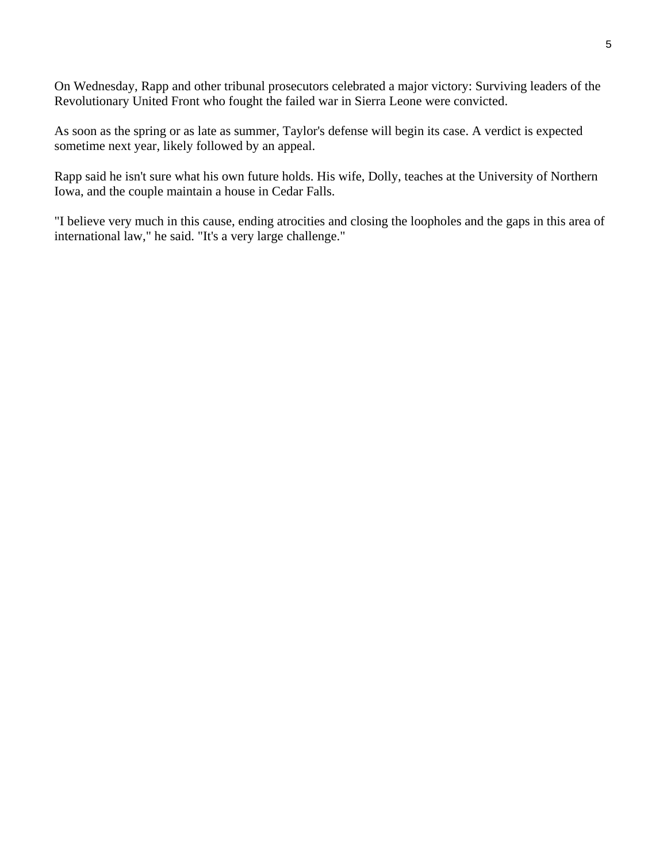On Wednesday, Rapp and other tribunal prosecutors celebrated a major victory: Surviving leaders of the Revolutionary United Front who fought the failed war in Sierra Leone were convicted.

As soon as the spring or as late as summer, Taylor's defense will begin its case. A verdict is expected sometime next year, likely followed by an appeal.

Rapp said he isn't sure what his own future holds. His wife, Dolly, teaches at the University of Northern Iowa, and the couple maintain a house in Cedar Falls.

"I believe very much in this cause, ending atrocities and closing the loopholes and the gaps in this area of international law," he said. "It's a very large challenge."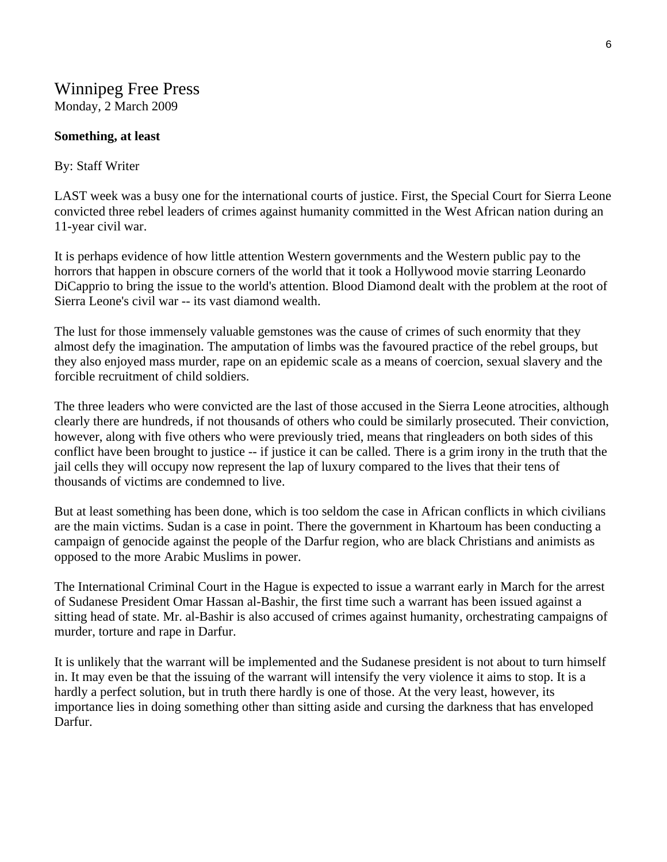## Winnipeg Free Press Monday, 2 March 2009

#### **Something, at least**

#### By: Staff Writer

LAST week was a busy one for the international courts of justice. First, the Special Court for Sierra Leone convicted three rebel leaders of crimes against humanity committed in the West African nation during an 11-year civil war.

It is perhaps evidence of how little attention Western governments and the Western public pay to the horrors that happen in obscure corners of the world that it took a Hollywood movie starring Leonardo DiCapprio to bring the issue to the world's attention. Blood Diamond dealt with the problem at the root of Sierra Leone's civil war -- its vast diamond wealth.

The lust for those immensely valuable gemstones was the cause of crimes of such enormity that they almost defy the imagination. The amputation of limbs was the favoured practice of the rebel groups, but they also enjoyed mass murder, rape on an epidemic scale as a means of coercion, sexual slavery and the forcible recruitment of child soldiers.

The three leaders who were convicted are the last of those accused in the Sierra Leone atrocities, although clearly there are hundreds, if not thousands of others who could be similarly prosecuted. Their conviction, however, along with five others who were previously tried, means that ringleaders on both sides of this conflict have been brought to justice -- if justice it can be called. There is a grim irony in the truth that the jail cells they will occupy now represent the lap of luxury compared to the lives that their tens of thousands of victims are condemned to live.

But at least something has been done, which is too seldom the case in African conflicts in which civilians are the main victims. Sudan is a case in point. There the government in Khartoum has been conducting a campaign of genocide against the people of the Darfur region, who are black Christians and animists as opposed to the more Arabic Muslims in power.

The International Criminal Court in the Hague is expected to issue a warrant early in March for the arrest of Sudanese President Omar Hassan al-Bashir, the first time such a warrant has been issued against a sitting head of state. Mr. al-Bashir is also accused of crimes against humanity, orchestrating campaigns of murder, torture and rape in Darfur.

It is unlikely that the warrant will be implemented and the Sudanese president is not about to turn himself in. It may even be that the issuing of the warrant will intensify the very violence it aims to stop. It is a hardly a perfect solution, but in truth there hardly is one of those. At the very least, however, its importance lies in doing something other than sitting aside and cursing the darkness that has enveloped Darfur.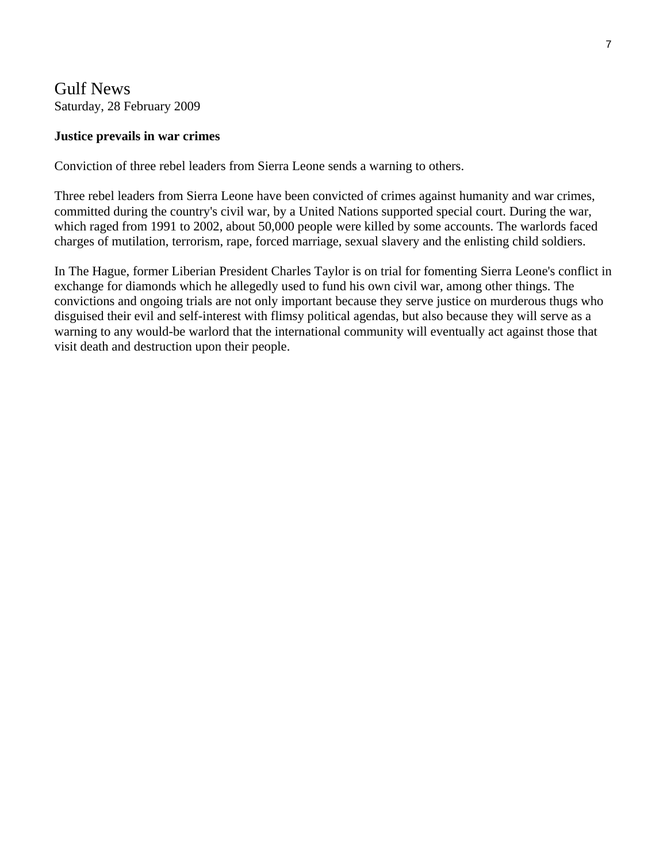## Gulf News Saturday, 28 February 2009

#### **Justice prevails in war crimes**

Conviction of three rebel leaders from Sierra Leone sends a warning to others.

Three rebel leaders from Sierra Leone have been convicted of crimes against humanity and war crimes, committed during the country's civil war, by a United Nations supported special court. During the war, which raged from 1991 to 2002, about 50,000 people were killed by some accounts. The warlords faced charges of mutilation, terrorism, rape, forced marriage, sexual slavery and the enlisting child soldiers.

In The Hague, former Liberian President Charles Taylor is on trial for fomenting Sierra Leone's conflict in exchange for diamonds which he allegedly used to fund his own civil war, among other things. The convictions and ongoing trials are not only important because they serve justice on murderous thugs who disguised their evil and self-interest with flimsy political agendas, but also because they will serve as a warning to any would-be warlord that the international community will eventually act against those that visit death and destruction upon their people.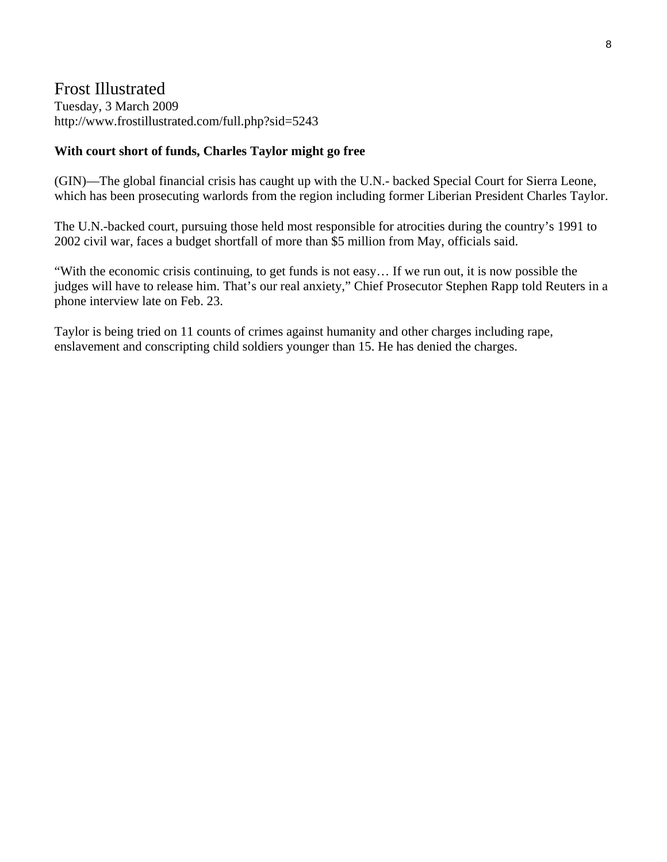## Frost Illustrated Tuesday, 3 March 2009 http://www.frostillustrated.com/full.php?sid=5243

#### **With court short of funds, Charles Taylor might go free**

(GIN)—The global financial crisis has caught up with the U.N.- backed Special Court for Sierra Leone, which has been prosecuting warlords from the region including former Liberian President Charles Taylor.

The U.N.-backed court, pursuing those held most responsible for atrocities during the country's 1991 to 2002 civil war, faces a budget shortfall of more than \$5 million from May, officials said.

"With the economic crisis continuing, to get funds is not easy… If we run out, it is now possible the judges will have to release him. That's our real anxiety," Chief Prosecutor Stephen Rapp told Reuters in a phone interview late on Feb. 23.

Taylor is being tried on 11 counts of crimes against humanity and other charges including rape, enslavement and conscripting child soldiers younger than 15. He has denied the charges.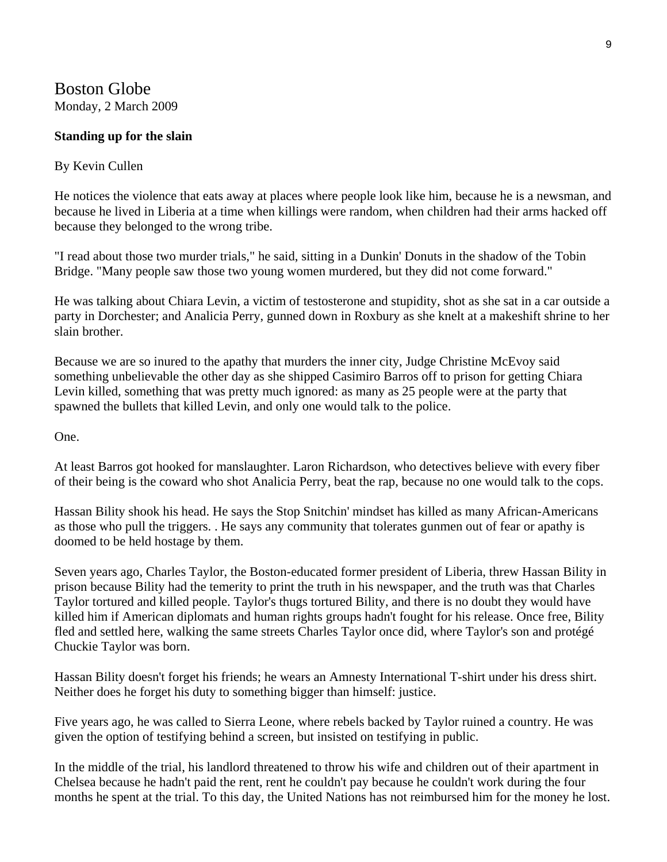## Boston Globe Monday, 2 March 2009

#### **Standing up for the slain**

#### By Kevin Cullen

He notices the violence that eats away at places where people look like him, because he is a newsman, and because he lived in Liberia at a time when killings were random, when children had their arms hacked off because they belonged to the wrong tribe.

"I read about those two murder trials," he said, sitting in a Dunkin' Donuts in the shadow of the Tobin Bridge. "Many people saw those two young women murdered, but they did not come forward."

He was talking about Chiara Levin, a victim of testosterone and stupidity, shot as she sat in a car outside a party in Dorchester; and Analicia Perry, gunned down in Roxbury as she knelt at a makeshift shrine to her slain brother.

Because we are so inured to the apathy that murders the inner city, Judge Christine McEvoy said something unbelievable the other day as she shipped Casimiro Barros off to prison for getting Chiara Levin killed, something that was pretty much ignored: as many as 25 people were at the party that spawned the bullets that killed Levin, and only one would talk to the police.

One.

At least Barros got hooked for manslaughter. Laron Richardson, who detectives believe with every fiber of their being is the coward who shot Analicia Perry, beat the rap, because no one would talk to the cops.

Hassan Bility shook his head. He says the Stop Snitchin' mindset has killed as many African-Americans as those who pull the triggers. . He says any community that tolerates gunmen out of fear or apathy is doomed to be held hostage by them.

Seven years ago, Charles Taylor, the Boston-educated former president of Liberia, threw Hassan Bility in prison because Bility had the temerity to print the truth in his newspaper, and the truth was that Charles Taylor tortured and killed people. Taylor's thugs tortured Bility, and there is no doubt they would have killed him if American diplomats and human rights groups hadn't fought for his release. Once free, Bility fled and settled here, walking the same streets Charles Taylor once did, where Taylor's son and protégé Chuckie Taylor was born.

Hassan Bility doesn't forget his friends; he wears an Amnesty International T-shirt under his dress shirt. Neither does he forget his duty to something bigger than himself: justice.

Five years ago, he was called to Sierra Leone, where rebels backed by Taylor ruined a country. He was given the option of testifying behind a screen, but insisted on testifying in public.

In the middle of the trial, his landlord threatened to throw his wife and children out of their apartment in Chelsea because he hadn't paid the rent, rent he couldn't pay because he couldn't work during the four months he spent at the trial. To this day, the United Nations has not reimbursed him for the money he lost.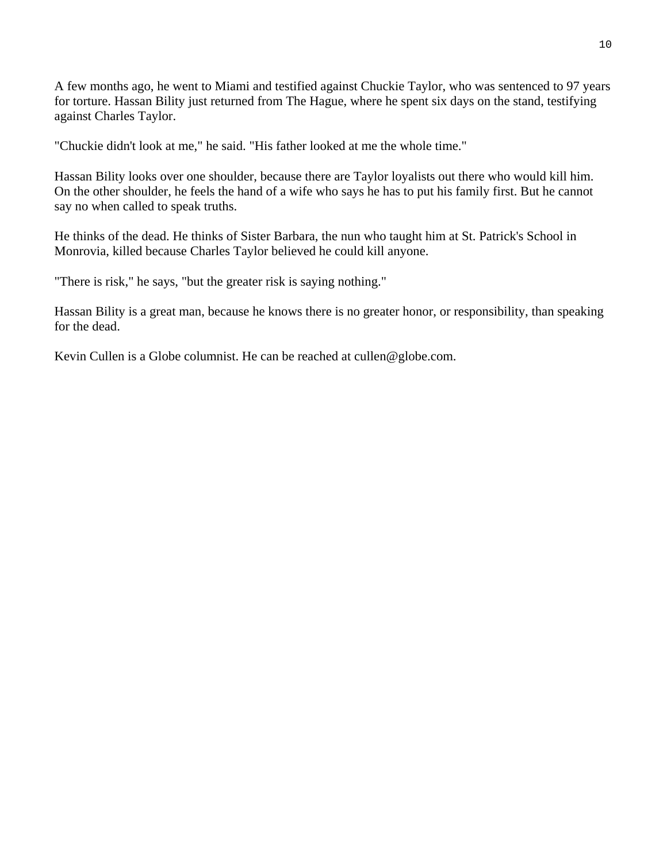A few months ago, he went to Miami and testified against Chuckie Taylor, who was sentenced to 97 years for torture. Hassan Bility just returned from The Hague, where he spent six days on the stand, testifying against Charles Taylor.

"Chuckie didn't look at me," he said. "His father looked at me the whole time."

Hassan Bility looks over one shoulder, because there are Taylor loyalists out there who would kill him. On the other shoulder, he feels the hand of a wife who says he has to put his family first. But he cannot say no when called to speak truths.

He thinks of the dead. He thinks of Sister Barbara, the nun who taught him at St. Patrick's School in Monrovia, killed because Charles Taylor believed he could kill anyone.

"There is risk," he says, "but the greater risk is saying nothing."

Hassan Bility is a great man, because he knows there is no greater honor, or responsibility, than speaking for the dead.

Kevin Cullen is a Globe columnist. He can be reached at cullen@globe.com.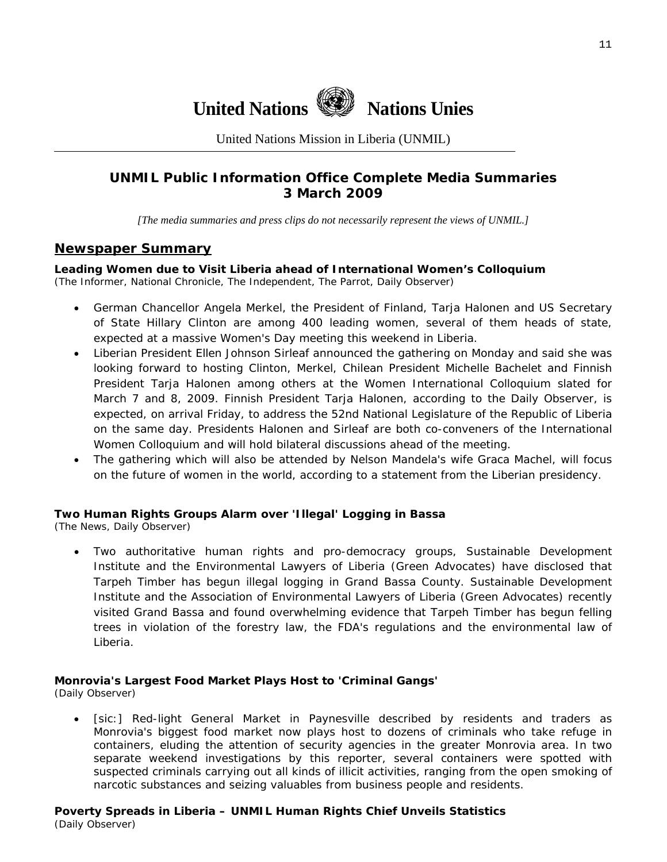

United Nations Mission in Liberia (UNMIL)

## **UNMIL Public Information Office Complete Media Summaries 3 March 2009**

*[The media summaries and press clips do not necessarily represent the views of UNMIL.]* 

#### **Newspaper Summary**

**Leading Women due to Visit Liberia ahead of International Women's Colloquium**  (The Informer, National Chronicle, The Independent, The Parrot, Daily Observer)

- German Chancellor Angela Merkel, the President of Finland, Tarja Halonen and US Secretary of State Hillary Clinton are among 400 leading women, several of them heads of state, expected at a massive Women's Day meeting this weekend in Liberia.
- Liberian President Ellen Johnson Sirleaf announced the gathering on Monday and said she was looking forward to hosting Clinton, Merkel, Chilean President Michelle Bachelet and Finnish President Tarja Halonen among others at the Women International Colloquium slated for March 7 and 8, 2009. Finnish President Tarja Halonen, according to the Daily Observer, is expected, on arrival Friday, to address the 52nd National Legislature of the Republic of Liberia on the same day. Presidents Halonen and Sirleaf are both co-conveners of the International Women Colloquium and will hold bilateral discussions ahead of the meeting.
- The gathering which will also be attended by Nelson Mandela's wife Graca Machel, will focus on the future of women in the world, according to a statement from the Liberian presidency.

#### **Two Human Rights Groups Alarm over 'Illegal' Logging in Bassa**

(The News, Daily Observer)

• Two authoritative human rights and pro-democracy groups, Sustainable Development Institute and the Environmental Lawyers of Liberia (Green Advocates) have disclosed that Tarpeh Timber has begun illegal logging in Grand Bassa County. Sustainable Development Institute and the Association of Environmental Lawyers of Liberia (Green Advocates) recently visited Grand Bassa and found overwhelming evidence that Tarpeh Timber has begun felling trees in violation of the forestry law, the FDA's regulations and the environmental law of Liberia.

#### **Monrovia's Largest Food Market Plays Host to 'Criminal Gangs'**

(Daily Observer)

• [sic:] Red-light General Market in Paynesville described by residents and traders as Monrovia's biggest food market now plays host to dozens of criminals who take refuge in containers, eluding the attention of security agencies in the greater Monrovia area. In two separate weekend investigations by this reporter, several containers were spotted with suspected criminals carrying out all kinds of illicit activities, ranging from the open smoking of narcotic substances and seizing valuables from business people and residents.

#### **Poverty Spreads in Liberia – UNMIL Human Rights Chief Unveils Statistics**  (Daily Observer)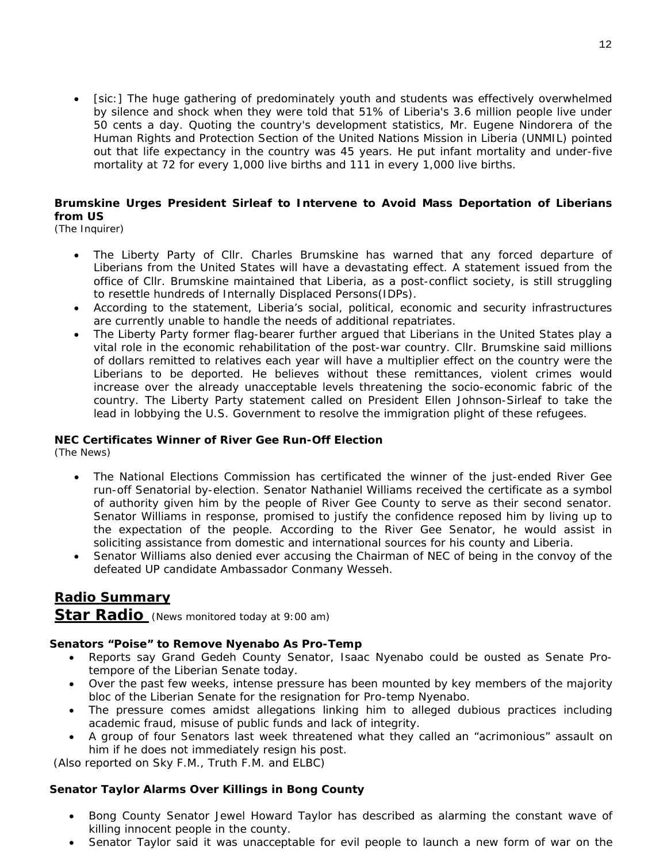• [sic:] The huge gathering of predominately youth and students was effectively overwhelmed by silence and shock when they were told that 51% of Liberia's 3.6 million people live under 50 cents a day. Quoting the country's development statistics, Mr. Eugene Nindorera of the Human Rights and Protection Section of the United Nations Mission in Liberia (UNMIL) pointed out that life expectancy in the country was 45 years. He put infant mortality and under-five mortality at 72 for every 1,000 live births and 111 in every 1,000 live births.

#### **Brumskine Urges President Sirleaf to Intervene to Avoid Mass Deportation of Liberians from US**

(The Inquirer)

- The Liberty Party of Cllr. Charles Brumskine has warned that any forced departure of Liberians from the United States will have a devastating effect. A statement issued from the office of Cllr. Brumskine maintained that Liberia, as a post-conflict society, is still struggling to resettle hundreds of Internally Displaced Persons(IDPs).
- According to the statement, Liberia's social, political, economic and security infrastructures are currently unable to handle the needs of additional repatriates.
- The Liberty Party former flag-bearer further argued that Liberians in the United States play a vital role in the economic rehabilitation of the post-war country. Cllr. Brumskine said millions of dollars remitted to relatives each year will have a multiplier effect on the country were the Liberians to be deported. He believes without these remittances, violent crimes would increase over the already unacceptable levels threatening the socio-economic fabric of the country. The Liberty Party statement called on President Ellen Johnson-Sirleaf to take the lead in lobbying the U.S. Government to resolve the immigration plight of these refugees.

#### **NEC Certificates Winner of River Gee Run-Off Election**

(The News)

- The National Elections Commission has certificated the winner of the just-ended River Gee run-off Senatorial by-election. Senator Nathaniel Williams received the certificate as a symbol of authority given him by the people of River Gee County to serve as their second senator. Senator Williams in response, promised to justify the confidence reposed him by living up to the expectation of the people. According to the River Gee Senator, he would assist in soliciting assistance from domestic and international sources for his county and Liberia.
- Senator Williams also denied ever accusing the Chairman of NEC of being in the convoy of the defeated UP candidate Ambassador Conmany Wesseh.

## **Radio Summary**

**Star Radio** *(News monitored today at 9:00 am)* 

#### **Senators "Poise" to Remove Nyenabo As Pro-Temp**

- Reports say Grand Gedeh County Senator, Isaac Nyenabo could be ousted as Senate Protempore of the Liberian Senate today.
- Over the past few weeks, intense pressure has been mounted by key members of the majority bloc of the Liberian Senate for the resignation for Pro-temp Nyenabo.
- The pressure comes amidst allegations linking him to alleged dubious practices including academic fraud, misuse of public funds and lack of integrity.
- A group of four Senators last week threatened what they called an "acrimonious" assault on him if he does not immediately resign his post.

(*Also reported on Sky F.M., Truth F.M. and ELBC*)

#### **Senator Taylor Alarms Over Killings in Bong County**

- Bong County Senator Jewel Howard Taylor has described as alarming the constant wave of killing innocent people in the county.
- Senator Taylor said it was unacceptable for evil people to launch a new form of war on the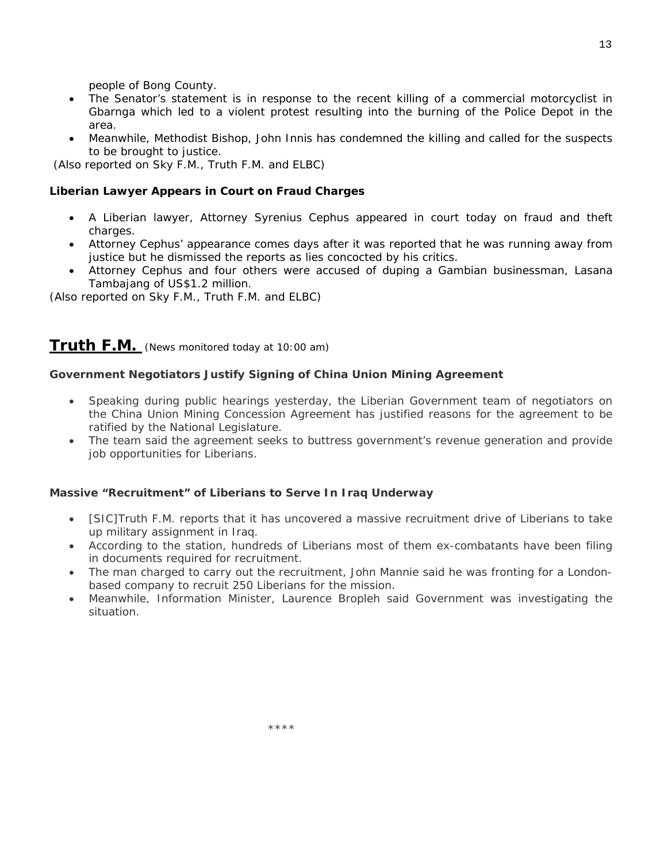people of Bong County.

- The Senator's statement is in response to the recent killing of a commercial motorcyclist in Gbarnga which led to a violent protest resulting into the burning of the Police Depot in the area.
- Meanwhile, Methodist Bishop, John Innis has condemned the killing and called for the suspects to be brought to justice.

(*Also reported on Sky F.M., Truth F.M. and ELBC*)

#### **Liberian Lawyer Appears in Court on Fraud Charges**

- A Liberian lawyer, Attorney Syrenius Cephus appeared in court today on fraud and theft charges.
- Attorney Cephus' appearance comes days after it was reported that he was running away from justice but he dismissed the reports as lies concocted by his critics.
- Attorney Cephus and four others were accused of duping a Gambian businessman, Lasana Tambajang of US\$1.2 million.

(*Also reported on Sky F.M., Truth F.M. and ELBC*)

#### **Truth F.M.** *(News monitored today at 10:00 am)*

#### **Government Negotiators Justify Signing of China Union Mining Agreement**

- Speaking during public hearings yesterday, the Liberian Government team of negotiators on the China Union Mining Concession Agreement has justified reasons for the agreement to be ratified by the National Legislature.
- The team said the agreement seeks to buttress government's revenue generation and provide job opportunities for Liberians.

#### **Massive "Recruitment" of Liberians to Serve In Iraq Underway**

- [SIC]Truth F.M. reports that it has uncovered a massive recruitment drive of Liberians to take up military assignment in Iraq.
- According to the station, hundreds of Liberians most of them ex-combatants have been filing in documents required for recruitment.
- The man charged to carry out the recruitment, John Mannie said he was fronting for a Londonbased company to recruit 250 Liberians for the mission.
- Meanwhile, Information Minister, Laurence Bropleh said Government was investigating the situation.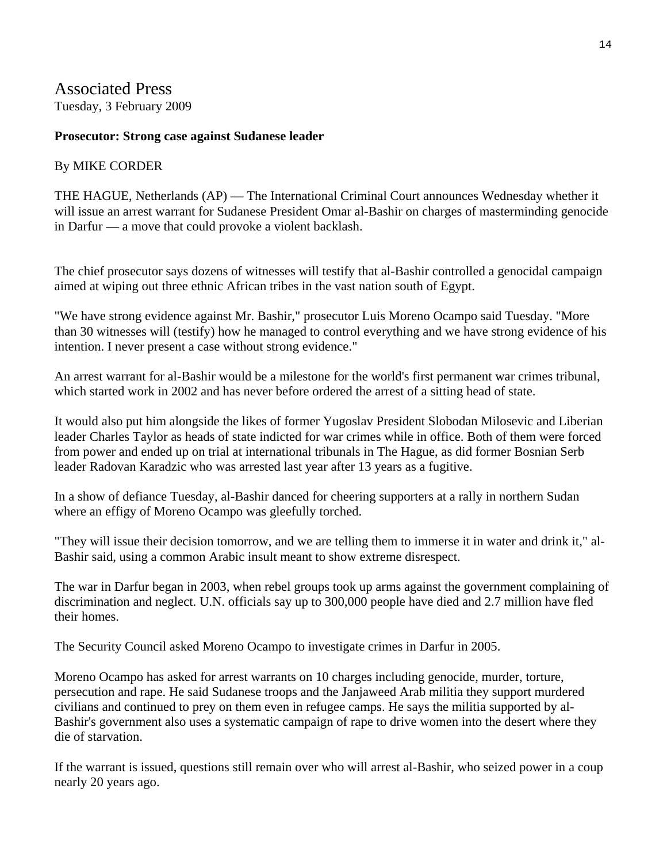## Associated Press

Tuesday, 3 February 2009

#### **Prosecutor: Strong case against Sudanese leader**

## By MIKE CORDER

THE HAGUE, Netherlands (AP) — The International Criminal Court announces Wednesday whether it will issue an arrest warrant for Sudanese President Omar al-Bashir on charges of masterminding genocide in Darfur — a move that could provoke a violent backlash.

The chief prosecutor says dozens of witnesses will testify that al-Bashir controlled a genocidal campaign aimed at wiping out three ethnic African tribes in the vast nation south of Egypt.

"We have strong evidence against Mr. Bashir," prosecutor Luis Moreno Ocampo said Tuesday. "More than 30 witnesses will (testify) how he managed to control everything and we have strong evidence of his intention. I never present a case without strong evidence."

An arrest warrant for al-Bashir would be a milestone for the world's first permanent war crimes tribunal, which started work in 2002 and has never before ordered the arrest of a sitting head of state.

It would also put him alongside the likes of former Yugoslav President Slobodan Milosevic and Liberian leader Charles Taylor as heads of state indicted for war crimes while in office. Both of them were forced from power and ended up on trial at international tribunals in The Hague, as did former Bosnian Serb leader Radovan Karadzic who was arrested last year after 13 years as a fugitive.

In a show of defiance Tuesday, al-Bashir danced for cheering supporters at a rally in northern Sudan where an effigy of Moreno Ocampo was gleefully torched.

"They will issue their decision tomorrow, and we are telling them to immerse it in water and drink it," al-Bashir said, using a common Arabic insult meant to show extreme disrespect.

The war in Darfur began in 2003, when rebel groups took up arms against the government complaining of discrimination and neglect. U.N. officials say up to 300,000 people have died and 2.7 million have fled their homes.

The Security Council asked Moreno Ocampo to investigate crimes in Darfur in 2005.

Moreno Ocampo has asked for arrest warrants on 10 charges including genocide, murder, torture, persecution and rape. He said Sudanese troops and the Janjaweed Arab militia they support murdered civilians and continued to prey on them even in refugee camps. He says the militia supported by al-Bashir's government also uses a systematic campaign of rape to drive women into the desert where they die of starvation.

If the warrant is issued, questions still remain over who will arrest al-Bashir, who seized power in a coup nearly 20 years ago.